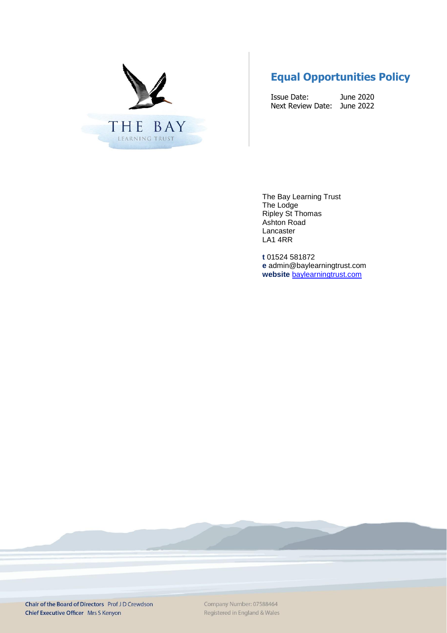

# **Equal Opportunities Policy**

Issue Date: June 2020 Next Review Date: June 2022

The Bay Learning Trust The Lodge Ripley St Thomas Ashton Road Lancaster LA1 4RR

**t** 01524 581872 **e** admin@baylearningtrust.com **website** [baylearningtrust.com](http://www.ripleystthomas.com/)

Chair of the Board of Directors Prof JD Crewdson Chief Executive Officer Mrs S Kenyon

Company Number: 07588464 Registered in England & Wales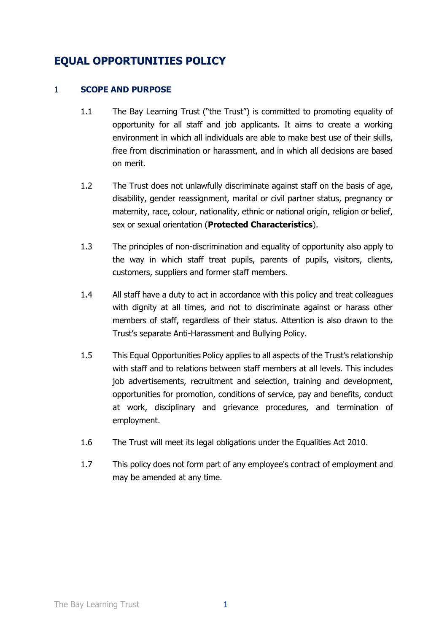# **EQUAL OPPORTUNITIES POLICY**

## 1 **SCOPE AND PURPOSE**

- 1.1 The Bay Learning Trust ("the Trust") is committed to promoting equality of opportunity for all staff and job applicants. It aims to create a working environment in which all individuals are able to make best use of their skills, free from discrimination or harassment, and in which all decisions are based on merit.
- 1.2 The Trust does not unlawfully discriminate against staff on the basis of age, disability, gender reassignment, marital or civil partner status, pregnancy or maternity, race, colour, nationality, ethnic or national origin, religion or belief, sex or sexual orientation (**Protected Characteristics**).
- 1.3 The principles of non-discrimination and equality of opportunity also apply to the way in which staff treat pupils, parents of pupils, visitors, clients, customers, suppliers and former staff members.
- 1.4 All staff have a duty to act in accordance with this policy and treat colleagues with dignity at all times, and not to discriminate against or harass other members of staff, regardless of their status. Attention is also drawn to the Trust's separate Anti-Harassment and Bullying Policy.
- 1.5 This Equal Opportunities Policy applies to all aspects of the Trust's relationship with staff and to relations between staff members at all levels. This includes job advertisements, recruitment and selection, training and development, opportunities for promotion, conditions of service, pay and benefits, conduct at work, disciplinary and grievance procedures, and termination of employment.
- 1.6 The Trust will meet its legal obligations under the Equalities Act 2010.
- 1.7 This policy does not form part of any employee's contract of employment and may be amended at any time.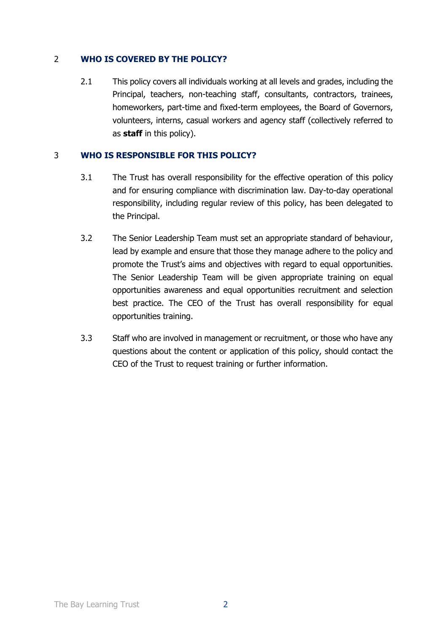## 2 **WHO IS COVERED BY THE POLICY?**

2.1 This policy covers all individuals working at all levels and grades, including the Principal, teachers, non-teaching staff, consultants, contractors, trainees, homeworkers, part-time and fixed-term employees, the Board of Governors, volunteers, interns, casual workers and agency staff (collectively referred to as **staff** in this policy).

## 3 **WHO IS RESPONSIBLE FOR THIS POLICY?**

- 3.1 The Trust has overall responsibility for the effective operation of this policy and for ensuring compliance with discrimination law. Day-to-day operational responsibility, including regular review of this policy, has been delegated to the Principal.
- 3.2 The Senior Leadership Team must set an appropriate standard of behaviour, lead by example and ensure that those they manage adhere to the policy and promote the Trust's aims and objectives with regard to equal opportunities. The Senior Leadership Team will be given appropriate training on equal opportunities awareness and equal opportunities recruitment and selection best practice. The CEO of the Trust has overall responsibility for equal opportunities training.
- 3.3 Staff who are involved in management or recruitment, or those who have any questions about the content or application of this policy, should contact the CEO of the Trust to request training or further information.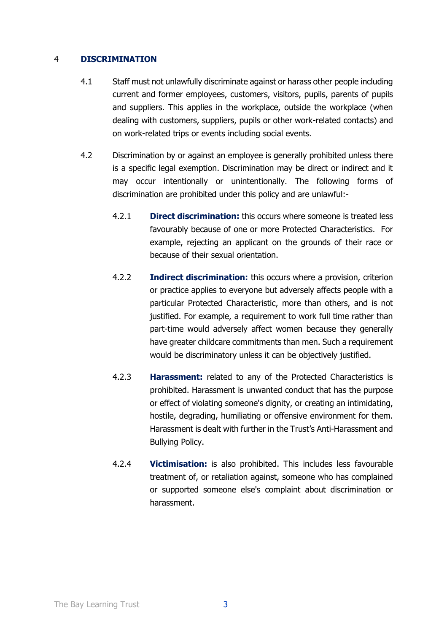### 4 **DISCRIMINATION**

- 4.1 Staff must not unlawfully discriminate against or harass other people including current and former employees, customers, visitors, pupils, parents of pupils and suppliers. This applies in the workplace, outside the workplace (when dealing with customers, suppliers, pupils or other work-related contacts) and on work-related trips or events including social events.
- 4.2 Discrimination by or against an employee is generally prohibited unless there is a specific legal exemption. Discrimination may be direct or indirect and it may occur intentionally or unintentionally. The following forms of discrimination are prohibited under this policy and are unlawful:-
	- 4.2.1 **Direct discrimination:** this occurs where someone is treated less favourably because of one or more Protected Characteristics. For example, rejecting an applicant on the grounds of their race or because of their sexual orientation.
	- 4.2.2 **Indirect discrimination:** this occurs where a provision, criterion or practice applies to everyone but adversely affects people with a particular Protected Characteristic, more than others, and is not justified. For example, a requirement to work full time rather than part-time would adversely affect women because they generally have greater childcare commitments than men. Such a requirement would be discriminatory unless it can be objectively justified.
	- 4.2.3 **Harassment:** related to any of the Protected Characteristics is prohibited. Harassment is unwanted conduct that has the purpose or effect of violating someone's dignity, or creating an intimidating, hostile, degrading, humiliating or offensive environment for them. Harassment is dealt with further in the Trust's Anti-Harassment and Bullying Policy.
	- 4.2.4 **Victimisation:** is also prohibited. This includes less favourable treatment of, or retaliation against, someone who has complained or supported someone else's complaint about discrimination or harassment.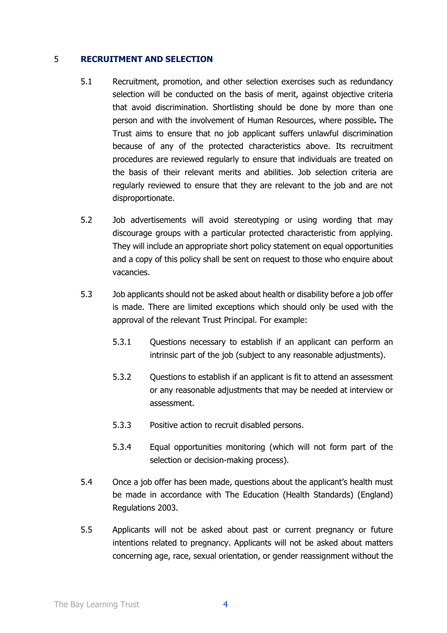#### 5 **RECRUITMENT AND SELECTION**

- 5.1 Recruitment, promotion, and other selection exercises such as redundancy selection will be conducted on the basis of merit, against objective criteria that avoid discrimination. Shortlisting should be done by more than one person and with the involvement of Human Resources, where possible**.** The Trust aims to ensure that no job applicant suffers unlawful discrimination because of any of the protected characteristics above. Its recruitment procedures are reviewed regularly to ensure that individuals are treated on the basis of their relevant merits and abilities. Job selection criteria are regularly reviewed to ensure that they are relevant to the job and are not disproportionate.
- 5.2 Job advertisements will avoid stereotyping or using wording that may discourage groups with a particular protected characteristic from applying. They will include an appropriate short policy statement on equal opportunities and a copy of this policy shall be sent on request to those who enquire about vacancies.
- 5.3 Job applicants should not be asked about health or disability before a job offer is made. There are limited exceptions which should only be used with the approval of the relevant Trust Principal. For example:
	- 5.3.1 Questions necessary to establish if an applicant can perform an intrinsic part of the job (subject to any reasonable adjustments).
	- 5.3.2 Questions to establish if an applicant is fit to attend an assessment or any reasonable adjustments that may be needed at interview or assessment.
	- 5.3.3 Positive action to recruit disabled persons.
	- 5.3.4 Equal opportunities monitoring (which will not form part of the selection or decision-making process).
- 5.4 Once a job offer has been made, questions about the applicant's health must be made in accordance with The Education (Health Standards) (England) Regulations 2003.
- 5.5 Applicants will not be asked about past or current pregnancy or future intentions related to pregnancy. Applicants will not be asked about matters concerning age, race, sexual orientation, or gender reassignment without the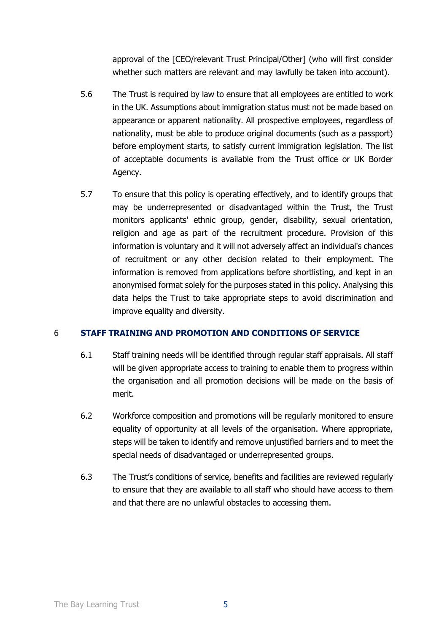approval of the [CEO/relevant Trust Principal/Other] (who will first consider whether such matters are relevant and may lawfully be taken into account).

- 5.6 The Trust is required by law to ensure that all employees are entitled to work in the UK. Assumptions about immigration status must not be made based on appearance or apparent nationality. All prospective employees, regardless of nationality, must be able to produce original documents (such as a passport) before employment starts, to satisfy current immigration legislation. The list of acceptable documents is available from the Trust office or UK Border Agency.
- 5.7 To ensure that this policy is operating effectively, and to identify groups that may be underrepresented or disadvantaged within the Trust, the Trust monitors applicants' ethnic group, gender, disability, sexual orientation, religion and age as part of the recruitment procedure. Provision of this information is voluntary and it will not adversely affect an individual's chances of recruitment or any other decision related to their employment. The information is removed from applications before shortlisting, and kept in an anonymised format solely for the purposes stated in this policy. Analysing this data helps the Trust to take appropriate steps to avoid discrimination and improve equality and diversity.

## 6 **STAFF TRAINING AND PROMOTION AND CONDITIONS OF SERVICE**

- 6.1 Staff training needs will be identified through regular staff appraisals. All staff will be given appropriate access to training to enable them to progress within the organisation and all promotion decisions will be made on the basis of merit.
- 6.2 Workforce composition and promotions will be regularly monitored to ensure equality of opportunity at all levels of the organisation. Where appropriate, steps will be taken to identify and remove unjustified barriers and to meet the special needs of disadvantaged or underrepresented groups.
- 6.3 The Trust's conditions of service, benefits and facilities are reviewed regularly to ensure that they are available to all staff who should have access to them and that there are no unlawful obstacles to accessing them.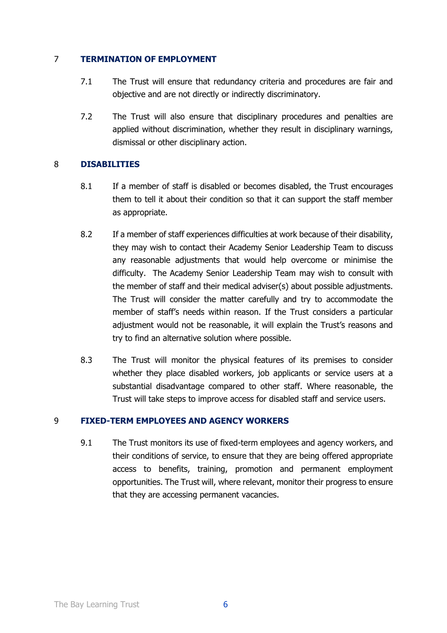### 7 **TERMINATION OF EMPLOYMENT**

- 7.1 The Trust will ensure that redundancy criteria and procedures are fair and objective and are not directly or indirectly discriminatory.
- 7.2 The Trust will also ensure that disciplinary procedures and penalties are applied without discrimination, whether they result in disciplinary warnings, dismissal or other disciplinary action.

#### 8 **DISABILITIES**

- 8.1 If a member of staff is disabled or becomes disabled, the Trust encourages them to tell it about their condition so that it can support the staff member as appropriate.
- 8.2 If a member of staff experiences difficulties at work because of their disability, they may wish to contact their Academy Senior Leadership Team to discuss any reasonable adjustments that would help overcome or minimise the difficulty. The Academy Senior Leadership Team may wish to consult with the member of staff and their medical adviser(s) about possible adjustments. The Trust will consider the matter carefully and try to accommodate the member of staff's needs within reason. If the Trust considers a particular adjustment would not be reasonable, it will explain the Trust's reasons and try to find an alternative solution where possible.
- 8.3 The Trust will monitor the physical features of its premises to consider whether they place disabled workers, job applicants or service users at a substantial disadvantage compared to other staff. Where reasonable, the Trust will take steps to improve access for disabled staff and service users.

## 9 **FIXED-TERM EMPLOYEES AND AGENCY WORKERS**

9.1 The Trust monitors its use of fixed-term employees and agency workers, and their conditions of service, to ensure that they are being offered appropriate access to benefits, training, promotion and permanent employment opportunities. The Trust will, where relevant, monitor their progress to ensure that they are accessing permanent vacancies.